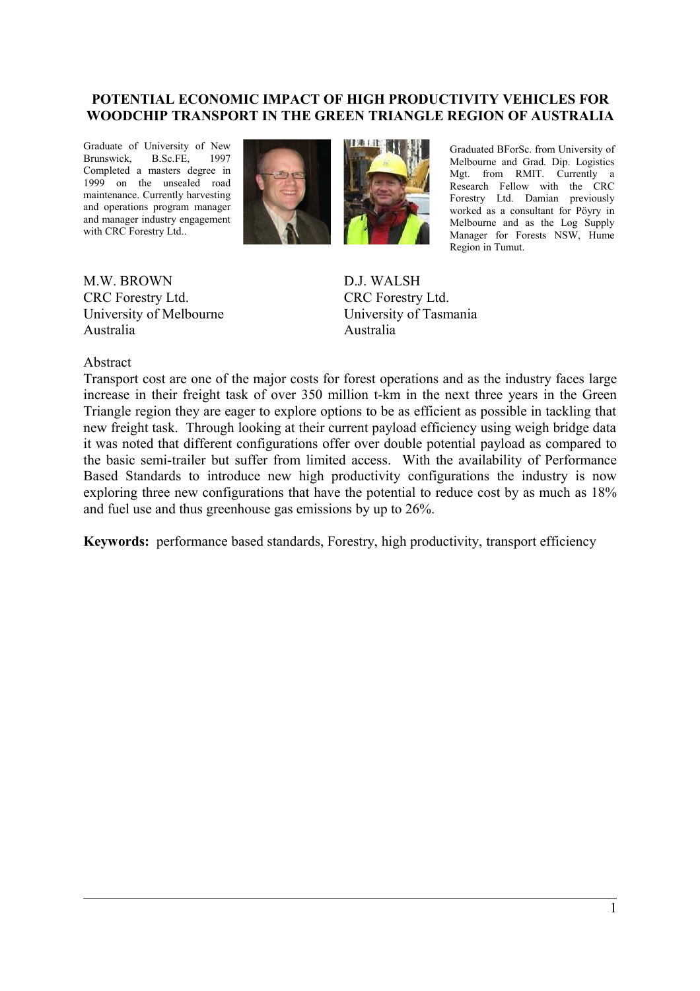# **POTENTIAL ECONOMIC IMPACT OF HIGH PRODUCTIVITY VEHICLES FOR WOODCHIP TRANSPORT IN THE GREEN TRIANGLE REGION OF AUSTRALIA**

Graduate of University of New Brunswick, B.Sc.FE, 1997 Completed a masters degree in 1999 on the unsealed road maintenance. Currently harvesting and operations program manager and manager industry engagement with CRC Forestry Ltd..





Graduated BForSc. from University of Melbourne and Grad. Dip. Logistics Mgt. from RMIT. Currently a Research Fellow with the CRC Forestry Ltd. Damian previously worked as a consultant for Pöyry in Melbourne and as the Log Supply Manager for Forests NSW, Hume Region in Tumut.

M.W. BROWN CRC Forestry Ltd. University of Melbourne Australia

D.J. WALSH CRC Forestry Ltd. University of Tasmania Australia

#### Abstract

Transport cost are one of the major costs for forest operations and as the industry faces large increase in their freight task of over 350 million t-km in the next three years in the Green Triangle region they are eager to explore options to be as efficient as possible in tackling that new freight task. Through looking at their current payload efficiency using weigh bridge data it was noted that different configurations offer over double potential payload as compared to the basic semi-trailer but suffer from limited access. With the availability of Performance Based Standards to introduce new high productivity configurations the industry is now exploring three new configurations that have the potential to reduce cost by as much as 18% and fuel use and thus greenhouse gas emissions by up to 26%.

**Keywords:** performance based standards, Forestry, high productivity, transport efficiency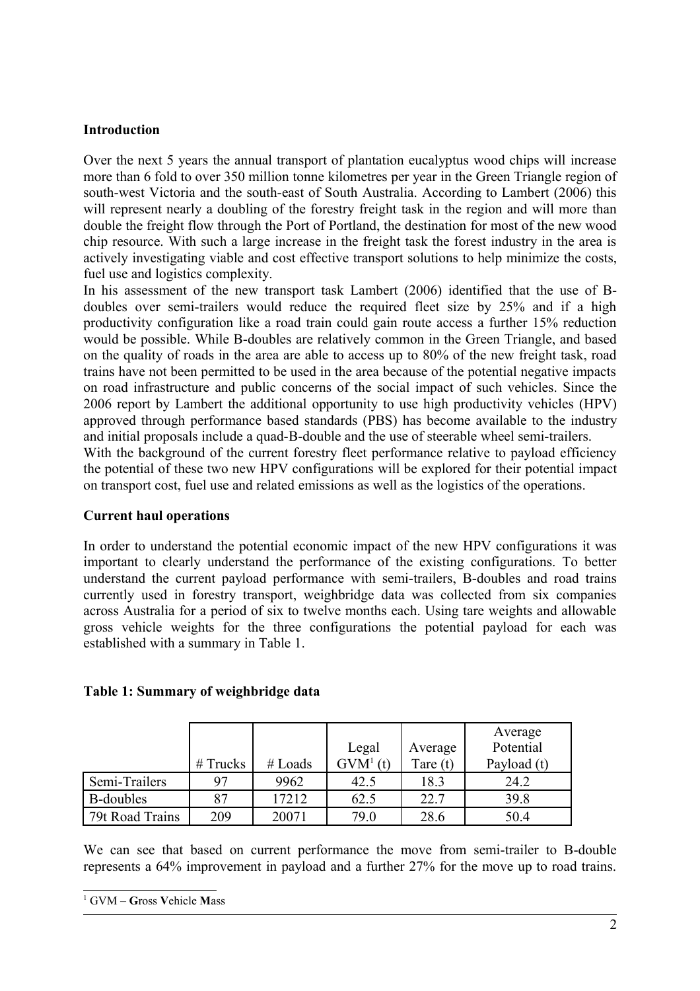# **Introduction**

Over the next 5 years the annual transport of plantation eucalyptus wood chips will increase more than 6 fold to over 350 million tonne kilometres per year in the Green Triangle region of south-west Victoria and the south-east of South Australia. According to Lambert (2006) this will represent nearly a doubling of the forestry freight task in the region and will more than double the freight flow through the Port of Portland, the destination for most of the new wood chip resource. With such a large increase in the freight task the forest industry in the area is actively investigating viable and cost effective transport solutions to help minimize the costs, fuel use and logistics complexity.

In his assessment of the new transport task Lambert (2006) identified that the use of Bdoubles over semi-trailers would reduce the required fleet size by 25% and if a high productivity configuration like a road train could gain route access a further 15% reduction would be possible. While B-doubles are relatively common in the Green Triangle, and based on the quality of roads in the area are able to access up to 80% of the new freight task, road trains have not been permitted to be used in the area because of the potential negative impacts on road infrastructure and public concerns of the social impact of such vehicles. Since the 2006 report by Lambert the additional opportunity to use high productivity vehicles (HPV) approved through performance based standards (PBS) has become available to the industry and initial proposals include a quad-B-double and the use of steerable wheel semi-trailers. With the background of the current forestry fleet performance relative to payload efficiency

the potential of these two new HPV configurations will be explored for their potential impact on transport cost, fuel use and related emissions as well as the logistics of the operations.

# **Current haul operations**

In order to understand the potential economic impact of the new HPV configurations it was important to clearly understand the performance of the existing configurations. To better understand the current payload performance with semi-trailers, B-doubles and road trains currently used in forestry transport, weighbridge data was collected from six companies across Australia for a period of six to twelve months each. Using tare weights and allowable gross vehicle weights for the three configurations the potential payload for each was established with a summary in [Table 1.](#page-1-0)

# <span id="page-1-0"></span>**Table 1: Summary of weighbridge data**

|                  |            |           |            |            | Average     |
|------------------|------------|-----------|------------|------------|-------------|
|                  |            |           | Legal      | Average    | Potential   |
|                  | $#$ Trucks | $#$ Loads | $GVM1$ (t) | Tare $(t)$ | Payload (t) |
| Semi-Trailers    | 97         | 9962      | 42.5       | 18.3       | 24.2        |
| <b>B-doubles</b> | 87         | 17212     | 62.5       | 22.7       | 39.8        |
| 79t Road Trains  | 209        | 20071     | 79.0       | 28.6       | 50.4        |

We can see that based on current performance the move from semi-trailer to B-double represents a 64% improvement in payload and a further 27% for the move up to road trains.

<span id="page-1-1"></span><sup>1</sup> GVM – **G**ross **V**ehicle **M**ass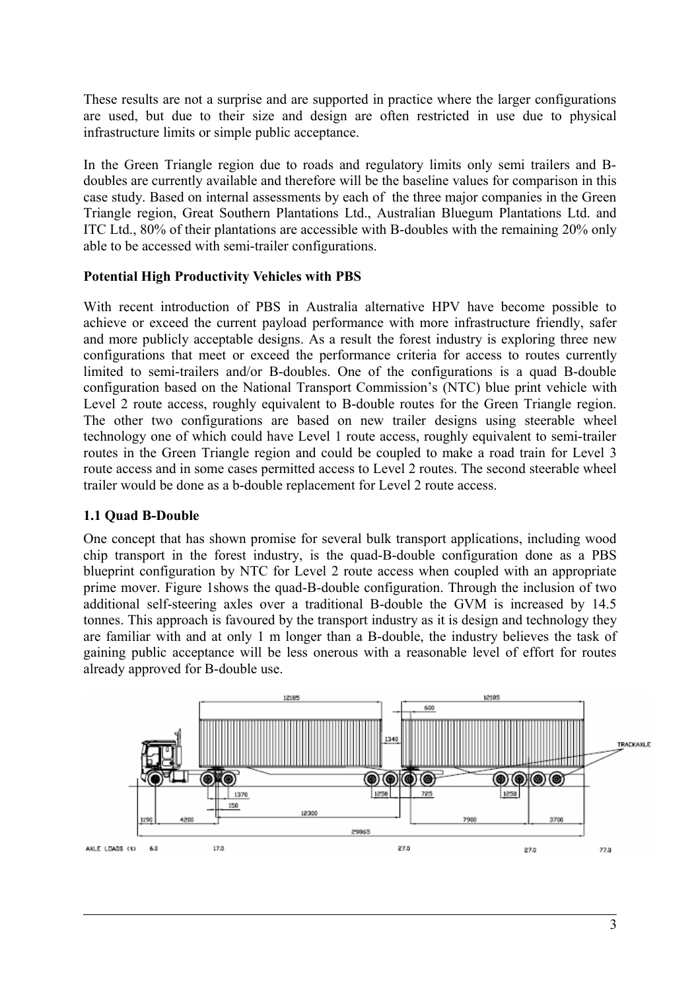These results are not a surprise and are supported in practice where the larger configurations are used, but due to their size and design are often restricted in use due to physical infrastructure limits or simple public acceptance.

In the Green Triangle region due to roads and regulatory limits only semi trailers and Bdoubles are currently available and therefore will be the baseline values for comparison in this case study. Based on internal assessments by each of the three major companies in the Green Triangle region, Great Southern Plantations Ltd., Australian Bluegum Plantations Ltd. and ITC Ltd., 80% of their plantations are accessible with B-doubles with the remaining 20% only able to be accessed with semi-trailer configurations.

# **Potential High Productivity Vehicles with PBS**

With recent introduction of PBS in Australia alternative HPV have become possible to achieve or exceed the current payload performance with more infrastructure friendly, safer and more publicly acceptable designs. As a result the forest industry is exploring three new configurations that meet or exceed the performance criteria for access to routes currently limited to semi-trailers and/or B-doubles. One of the configurations is a quad B-double configuration based on the National Transport Commission's (NTC) blue print vehicle with Level 2 route access, roughly equivalent to B-double routes for the Green Triangle region. The other two configurations are based on new trailer designs using steerable wheel technology one of which could have Level 1 route access, roughly equivalent to semi-trailer routes in the Green Triangle region and could be coupled to make a road train for Level 3 route access and in some cases permitted access to Level 2 routes. The second steerable wheel trailer would be done as a b-double replacement for Level 2 route access.

# **1.1 Quad B-Double**

One concept that has shown promise for several bulk transport applications, including wood chip transport in the forest industry, is the quad-B-double configuration done as a PBS blueprint configuration by NTC for Level 2 route access when coupled with an appropriate prime mover. [Figure 1s](#page-3-0)hows the quad-B-double configuration. Through the inclusion of two additional self-steering axles over a traditional B-double the GVM is increased by 14.5 tonnes. This approach is favoured by the transport industry as it is design and technology they are familiar with and at only 1 m longer than a B-double, the industry believes the task of gaining public acceptance will be less onerous with a reasonable level of effort for routes already approved for B-double use.

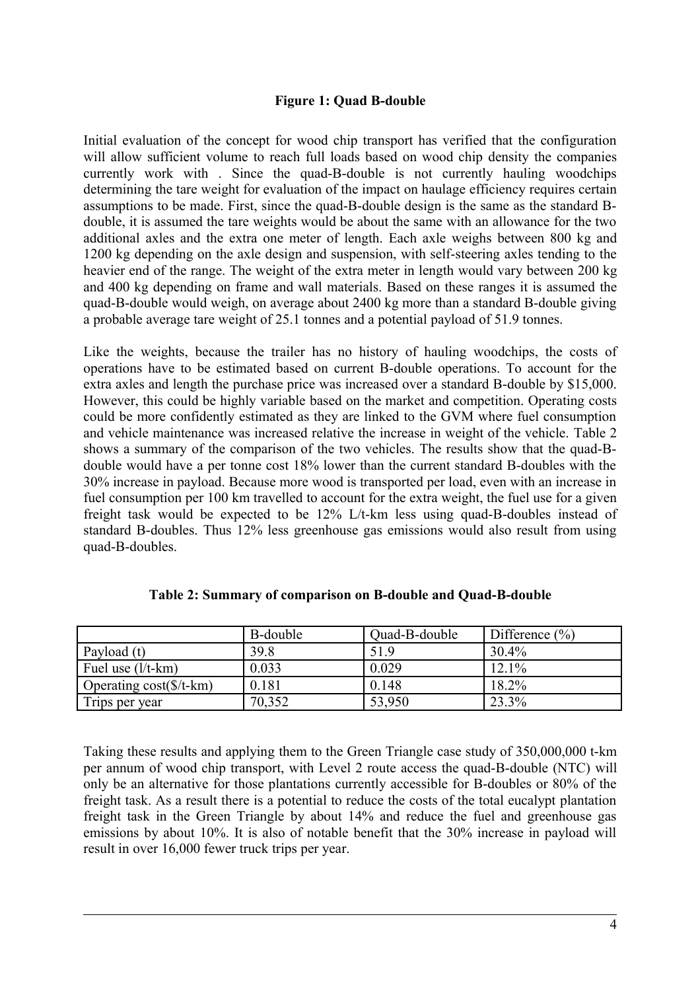#### <span id="page-3-0"></span>**Figure 1: Quad B-double**

Initial evaluation of the concept for wood chip transport has verified that the configuration will allow sufficient volume to reach full loads based on wood chip density the companies currently work with . Since the quad-B-double is not currently hauling woodchips determining the tare weight for evaluation of the impact on haulage efficiency requires certain assumptions to be made. First, since the quad-B-double design is the same as the standard Bdouble, it is assumed the tare weights would be about the same with an allowance for the two additional axles and the extra one meter of length. Each axle weighs between 800 kg and 1200 kg depending on the axle design and suspension, with self-steering axles tending to the heavier end of the range. The weight of the extra meter in length would vary between 200 kg and 400 kg depending on frame and wall materials. Based on these ranges it is assumed the quad-B-double would weigh, on average about 2400 kg more than a standard B-double giving a probable average tare weight of 25.1 tonnes and a potential payload of 51.9 tonnes.

Like the weights, because the trailer has no history of hauling woodchips, the costs of operations have to be estimated based on current B-double operations. To account for the extra axles and length the purchase price was increased over a standard B-double by \$15,000. However, this could be highly variable based on the market and competition. Operating costs could be more confidently estimated as they are linked to the GVM where fuel consumption and vehicle maintenance was increased relative the increase in weight of the vehicle. [Table 2](#page-3-1) shows a summary of the comparison of the two vehicles. The results show that the quad-Bdouble would have a per tonne cost 18% lower than the current standard B-doubles with the 30% increase in payload. Because more wood is transported per load, even with an increase in fuel consumption per 100 km travelled to account for the extra weight, the fuel use for a given freight task would be expected to be 12% L/t-km less using quad-B-doubles instead of standard B-doubles. Thus 12% less greenhouse gas emissions would also result from using quad-B-doubles.

|                                  | B-double | Quad-B-double | Difference $(\% )$ |
|----------------------------------|----------|---------------|--------------------|
| Payload (t)                      | 39.8     | 51.9          | $30.4\%$           |
| Fuel use $(l/t-km)$              | 0.033    | 0.029         | 12.1%              |
| Operating $cost(\frac{5}{t-km})$ | 0.181    | 0.148         | 18.2%              |
| Trips per year                   | 70,352   | 53,950        | 23.3%              |

<span id="page-3-1"></span>**Table 2: Summary of comparison on B-double and Quad-B-double**

Taking these results and applying them to the Green Triangle case study of 350,000,000 t-km per annum of wood chip transport, with Level 2 route access the quad-B-double (NTC) will only be an alternative for those plantations currently accessible for B-doubles or 80% of the freight task. As a result there is a potential to reduce the costs of the total eucalypt plantation freight task in the Green Triangle by about 14% and reduce the fuel and greenhouse gas emissions by about 10%. It is also of notable benefit that the 30% increase in payload will result in over 16,000 fewer truck trips per year.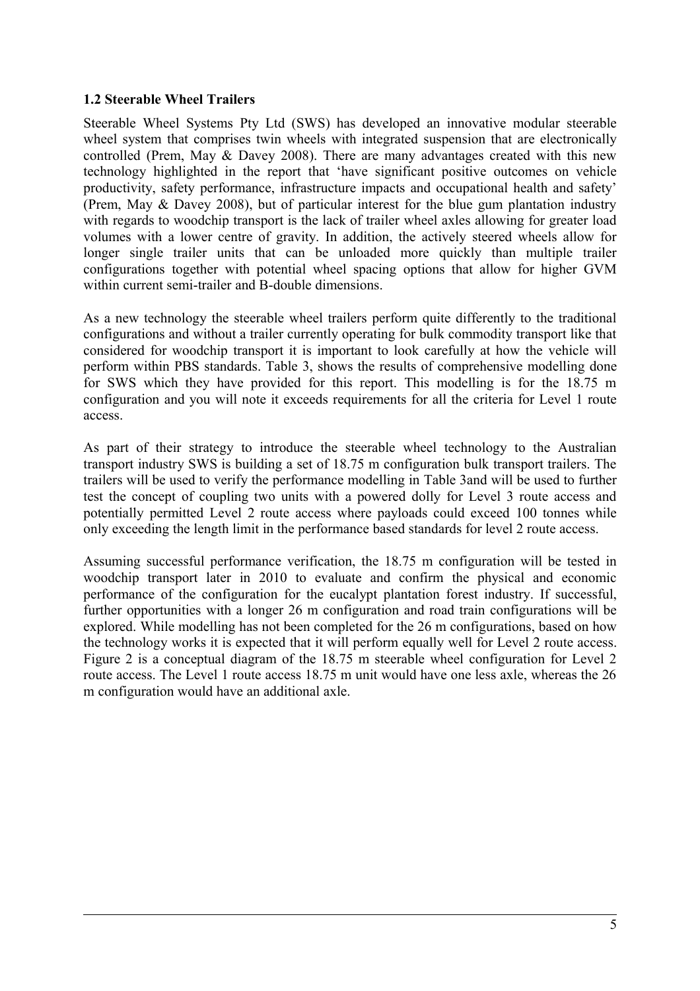# **1.2 Steerable Wheel Trailers**

Steerable Wheel Systems Pty Ltd (SWS) has developed an innovative modular steerable wheel system that comprises twin wheels with integrated suspension that are electronically controlled (Prem, May & Davey 2008). There are many advantages created with this new technology highlighted in the report that 'have significant positive outcomes on vehicle productivity, safety performance, infrastructure impacts and occupational health and safety' (Prem, May & Davey 2008), but of particular interest for the blue gum plantation industry with regards to woodchip transport is the lack of trailer wheel axles allowing for greater load volumes with a lower centre of gravity. In addition, the actively steered wheels allow for longer single trailer units that can be unloaded more quickly than multiple trailer configurations together with potential wheel spacing options that allow for higher GVM within current semi-trailer and B-double dimensions.

As a new technology the steerable wheel trailers perform quite differently to the traditional configurations and without a trailer currently operating for bulk commodity transport like that considered for woodchip transport it is important to look carefully at how the vehicle will perform within PBS standards. [Table 3,](#page-5-0) shows the results of comprehensive modelling done for SWS which they have provided for this report. This modelling is for the 18.75 m configuration and you will note it exceeds requirements for all the criteria for Level 1 route access.

As part of their strategy to introduce the steerable wheel technology to the Australian transport industry SWS is building a set of 18.75 m configuration bulk transport trailers. The trailers will be used to verify the performance modelling in [Table 3a](#page-5-0)nd will be used to further test the concept of coupling two units with a powered dolly for Level 3 route access and potentially permitted Level 2 route access where payloads could exceed 100 tonnes while only exceeding the length limit in the performance based standards for level 2 route access.

Assuming successful performance verification, the 18.75 m configuration will be tested in woodchip transport later in 2010 to evaluate and confirm the physical and economic performance of the configuration for the eucalypt plantation forest industry. If successful, further opportunities with a longer 26 m configuration and road train configurations will be explored. While modelling has not been completed for the 26 m configurations, based on how the technology works it is expected that it will perform equally well for Level 2 route access. [Figure 2](#page-6-0) is a conceptual diagram of the 18.75 m steerable wheel configuration for Level 2 route access. The Level 1 route access 18.75 m unit would have one less axle, whereas the 26 m configuration would have an additional axle.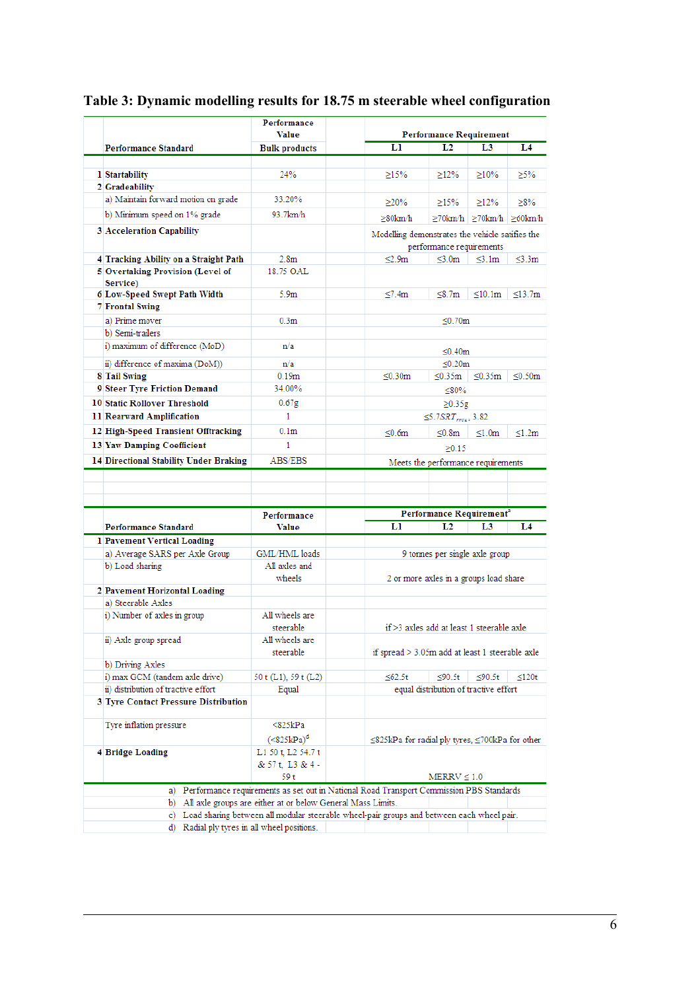|                                        | Performance<br><b>Value</b>                                                                                                                                  |                                                                             |                                                        |                                           |               |  |
|----------------------------------------|--------------------------------------------------------------------------------------------------------------------------------------------------------------|-----------------------------------------------------------------------------|--------------------------------------------------------|-------------------------------------------|---------------|--|
| <b>Performance Standard</b>            | <b>Bulk products</b>                                                                                                                                         |                                                                             | <b>Performance Requirement</b><br>LI<br>L2<br>L3<br>L4 |                                           |               |  |
|                                        |                                                                                                                                                              |                                                                             |                                                        |                                           |               |  |
| 1 Startability                         | 24%                                                                                                                                                          | $\geq15\%$                                                                  | $\geq$ 12%                                             | $\geq10\%$                                | $\geq 5\%$    |  |
| 2 Gradeability                         |                                                                                                                                                              |                                                                             |                                                        |                                           |               |  |
| a) Maintain forward motion on grade    | 33.20%                                                                                                                                                       | $\geq$ 20%                                                                  | >15%                                                   | $\geq$ 12%                                | $\geq$ 8%     |  |
| b) Minimum speed on 1% grade           | 93.7km/h                                                                                                                                                     | ≥80km/h                                                                     |                                                        | $\geq$ 70km/h $\geq$ 70km/h $\geq$ 60km/h |               |  |
| 3 Acceleration Capability              |                                                                                                                                                              |                                                                             |                                                        |                                           |               |  |
|                                        |                                                                                                                                                              | Modelling demonstrates the vehicle satifies the<br>performance requirements |                                                        |                                           |               |  |
| 4 Tracking Ability on a Straight Path  | 2.8 <sub>m</sub>                                                                                                                                             | $\leq 2.9m$                                                                 | $\leq 3.0$ m                                           | $\leq$ 3.1m                               | $\leq$ 3.3m   |  |
| 5 Overtaking Provision (Level of       | 18.75 OAL                                                                                                                                                    |                                                                             |                                                        |                                           |               |  |
| Service)                               |                                                                                                                                                              |                                                                             |                                                        |                                           |               |  |
| 6 Low-Speed Swept Path Width           | 5.9m                                                                                                                                                         | $\leq 7.4m$                                                                 | $\leq 8.7$ m                                           | $\leq 10.1m$                              | $\leq$ 13.7m  |  |
| 7 Frontal Swing                        |                                                                                                                                                              |                                                                             |                                                        |                                           |               |  |
| a) Prime mover                         | 0.3 <sub>m</sub>                                                                                                                                             |                                                                             | ≤ $0.70$ m                                             |                                           |               |  |
| b) Semi-trailers                       |                                                                                                                                                              |                                                                             |                                                        |                                           |               |  |
| i) maximum of difference (MoD)         | n/a                                                                                                                                                          |                                                                             | $\leq 0.40$ m                                          |                                           |               |  |
| ii) difference of maxima (DoM))        | n/a                                                                                                                                                          |                                                                             | < 0.20m                                                |                                           |               |  |
| 8 Tail Swing                           | 0.19 <sub>m</sub>                                                                                                                                            | ≤ $0.30$ m                                                                  | ≤0.35 $m$                                              | $\leq 0.35$ m                             | $\leq 0.50$ m |  |
| 9 Steer Tyre Friction Demand           | 34.00%                                                                                                                                                       |                                                                             | $\leq 80\%$                                            |                                           |               |  |
| <b>10 Static Rollover Threshold</b>    | 0.67g                                                                                                                                                        |                                                                             | $\geq 0.35$ g                                          |                                           |               |  |
| 11 Rearward Amplification              | 1                                                                                                                                                            |                                                                             | $\leq$ 5.7SRT $_{rev}$ , 3.82                          |                                           |               |  |
| 12 High-Speed Transient Offtracking    | 0.1 <sub>m</sub>                                                                                                                                             |                                                                             |                                                        |                                           |               |  |
| <b>13 Yaw Damping Coefficient</b>      | $\mathbf{1}$                                                                                                                                                 | ≤ $0.6$ m                                                                   | < 0.8m                                                 | $\leq1.0m$                                | $\leq 1.2m$   |  |
|                                        |                                                                                                                                                              |                                                                             | >0.15                                                  |                                           |               |  |
| 14 Directional Stability Under Braking | ABS/EBS                                                                                                                                                      |                                                                             | Meets the performance requirements                     |                                           |               |  |
|                                        |                                                                                                                                                              |                                                                             |                                                        |                                           |               |  |
|                                        |                                                                                                                                                              |                                                                             |                                                        |                                           |               |  |
|                                        |                                                                                                                                                              |                                                                             |                                                        |                                           |               |  |
|                                        |                                                                                                                                                              |                                                                             |                                                        |                                           |               |  |
|                                        | Performance                                                                                                                                                  |                                                                             | Performance Requirement <sup>a</sup>                   |                                           |               |  |
| <b>Performance Standard</b>            | Value                                                                                                                                                        | ы                                                                           | L2                                                     | L3                                        | L4            |  |
| 1 Pavement Vertical Loading            |                                                                                                                                                              |                                                                             |                                                        |                                           |               |  |
| a) Average SARS per Axle Group         | GML/HML loads                                                                                                                                                |                                                                             | 9 tonnes per single axle group                         |                                           |               |  |
| b) Load sharing                        | All axles and                                                                                                                                                |                                                                             |                                                        |                                           |               |  |
|                                        | wheels                                                                                                                                                       |                                                                             | 2 or more axles in a groups load share                 |                                           |               |  |
| 2 Pavement Horizontal Loading          |                                                                                                                                                              |                                                                             |                                                        |                                           |               |  |
| a) Steerable Axles                     |                                                                                                                                                              |                                                                             |                                                        |                                           |               |  |
| i) Number of axles in group            | All wheels are<br>steerable                                                                                                                                  | $if > 3$ axles add at least 1 steerable axle                                |                                                        |                                           |               |  |
|                                        | All wheels are                                                                                                                                               |                                                                             |                                                        |                                           |               |  |
| ii) Axle group spread                  | steerable                                                                                                                                                    | if spread > 3.05m add at least 1 steerable axle                             |                                                        |                                           |               |  |
| b) Driving Axles                       |                                                                                                                                                              |                                                                             |                                                        |                                           |               |  |
| i) max GCM (tandem axle drive)         | 50 t (L1), 59 t (L2)                                                                                                                                         | $\leq 62.5t$                                                                | ≤ $90.5t$                                              | $≤90.5t$                                  | $\leq 120t$   |  |
| ii) distribution of tractive effort    | Equal                                                                                                                                                        |                                                                             | equal distribution of tractive effort                  |                                           |               |  |
| 3 Tyre Contact Pressure Distribution   |                                                                                                                                                              |                                                                             |                                                        |                                           |               |  |
| Tyre inflation pressure                | <825kPa                                                                                                                                                      |                                                                             |                                                        |                                           |               |  |
|                                        |                                                                                                                                                              |                                                                             |                                                        |                                           |               |  |
|                                        | ( <b>825kPa</b> <sup>d</sup> )                                                                                                                               | ≤825kPa for radial ply tyres, ≤700kPa for other                             |                                                        |                                           |               |  |
| 4 Bridge Loading                       | L1 50 t, L2 54.7 t<br>& 57 t. L3 & 4 -                                                                                                                       |                                                                             |                                                        |                                           |               |  |
|                                        | 59 t                                                                                                                                                         |                                                                             | $MERNV \leq 1.0$                                       |                                           |               |  |
|                                        |                                                                                                                                                              |                                                                             |                                                        |                                           |               |  |
|                                        | a) Performance requirements as set out in National Road Transport Commission PBS Standards<br>b) All axle groups are either at or below General Mass Limits. |                                                                             |                                                        |                                           |               |  |
|                                        | c) Load sharing between all modular steerable wheel-pair groups and between each wheel pair.                                                                 |                                                                             |                                                        |                                           |               |  |

# <span id="page-5-0"></span>**Table 3: Dynamic modelling results for 18.75 m steerable wheel configuration**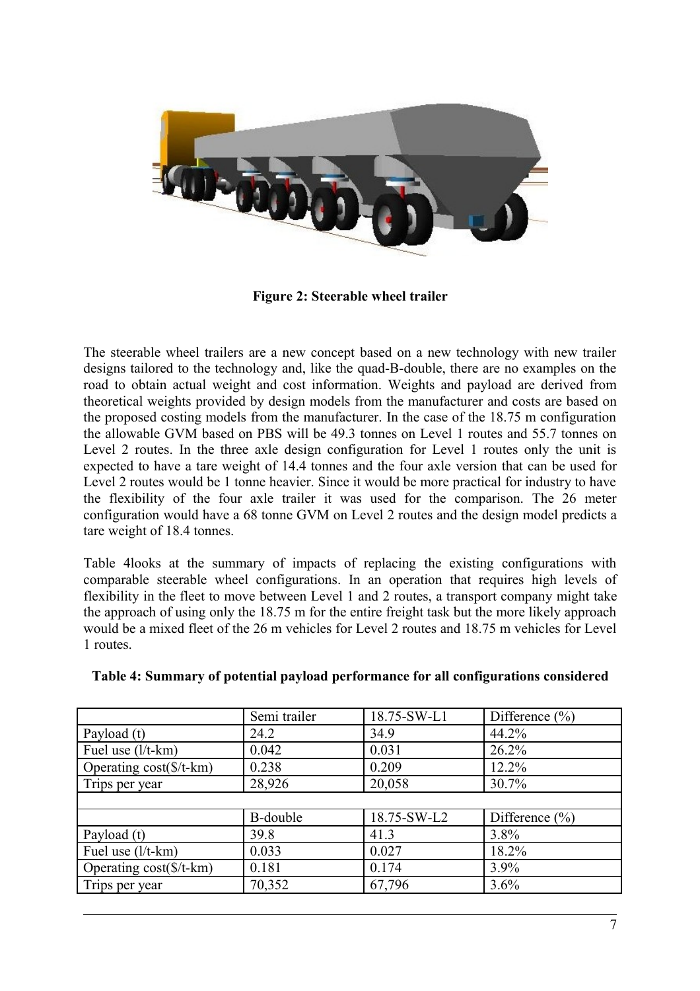

**Figure 2: Steerable wheel trailer**

<span id="page-6-0"></span>The steerable wheel trailers are a new concept based on a new technology with new trailer designs tailored to the technology and, like the quad-B-double, there are no examples on the road to obtain actual weight and cost information. Weights and payload are derived from theoretical weights provided by design models from the manufacturer and costs are based on the proposed costing models from the manufacturer. In the case of the 18.75 m configuration the allowable GVM based on PBS will be 49.3 tonnes on Level 1 routes and 55.7 tonnes on Level 2 routes. In the three axle design configuration for Level 1 routes only the unit is expected to have a tare weight of 14.4 tonnes and the four axle version that can be used for Level 2 routes would be 1 tonne heavier. Since it would be more practical for industry to have the flexibility of the four axle trailer it was used for the comparison. The 26 meter configuration would have a 68 tonne GVM on Level 2 routes and the design model predicts a tare weight of 18.4 tonnes.

[Table 4l](#page-6-1)ooks at the summary of impacts of replacing the existing configurations with comparable steerable wheel configurations. In an operation that requires high levels of flexibility in the fleet to move between Level 1 and 2 routes, a transport company might take the approach of using only the 18.75 m for the entire freight task but the more likely approach would be a mixed fleet of the 26 m vehicles for Level 2 routes and 18.75 m vehicles for Level 1 routes.

|                                  | Semi trailer | 18.75-SW-L1 | Difference $(\% )$       |
|----------------------------------|--------------|-------------|--------------------------|
| Payload (t)                      | 24.2         | 34.9        | 44.2%                    |
| Fuel use (l/t-km)                | 0.042        | 0.031       | 26.2%                    |
| Operating $cost(\frac{f}{k+km})$ | 0.238        | 0.209       | 12.2%                    |
| Trips per year                   | 28,926       | 20,058      | 30.7%                    |
|                                  |              |             |                          |
|                                  | B-double     | 18.75-SW-L2 | Difference $\frac{0}{0}$ |
| Payload (t)                      | 39.8         | 41.3        | 3.8%                     |
| Fuel use $(l/t$ -km)             | 0.033        | 0.027       | 18.2%                    |
| Operating $cost(\frac{5}{t-km})$ | 0.181        | 0.174       | 3.9%                     |
| Trips per year                   | 70,352       | 67,796      | 3.6%                     |

#### <span id="page-6-1"></span>**Table 4: Summary of potential payload performance for all configurations considered**